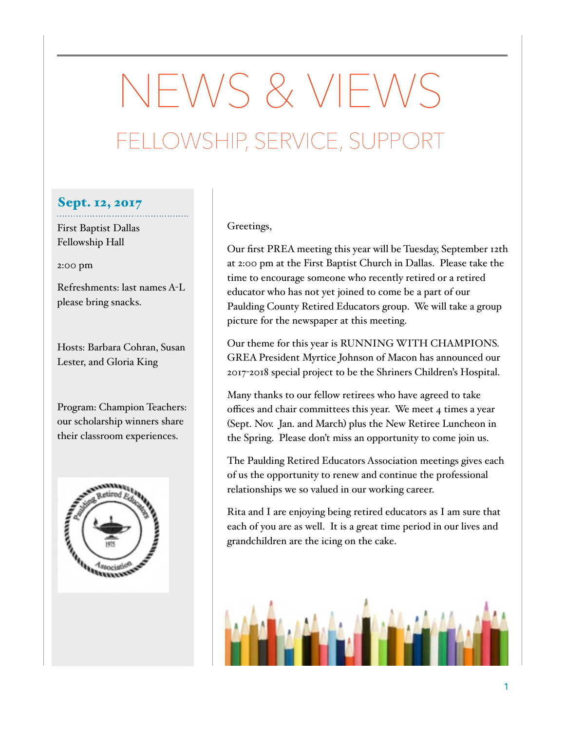# NEWS & VIEWS FELLOWSHIP, SERVICE, SUPPORT

### Sept. 12, 2017

First Baptist Dallas Fellowship Hall

2:00 pm

Refreshments: last names A-L please bring snacks.

Hosts: Barbara Cohran, Susan Lester, and Gloria King

Program: Champion Teachers: our scholarship winners share their classroom experiences.



#### Greetings,

Our first PREA meeting this year will be Tuesday, September 12th at 2:00 pm at the First Baptist Church in Dallas. Please take the time to encourage someone who recently retired or a retired educator who has not yet joined to come be a part of our Paulding County Retired Educators group. We will take a group picture for the newspaper at this meeting.

Our theme for this year is RUNNING WITH CHAMPIONS. GREA President Myrtice Johnson of Macon has announced our 2017-2018 special project to be the Shriners Children's Hospital.

Many thanks to our fellow retirees who have agreed to take offices and chair committees this year. We meet 4 times a year (Sept. Nov. Jan. and March) plus the New Retiree Luncheon in the Spring. Please don't miss an opportunity to come join us.

The Paulding Retired Educators Association meetings gives each of us the opportunity to renew and continue the professional relationships we so valued in our working career.

Rita and I are enjoying being retired educators as I am sure that each of you are as well. It is a great time period in our lives and grandchildren are the icing on the cake.

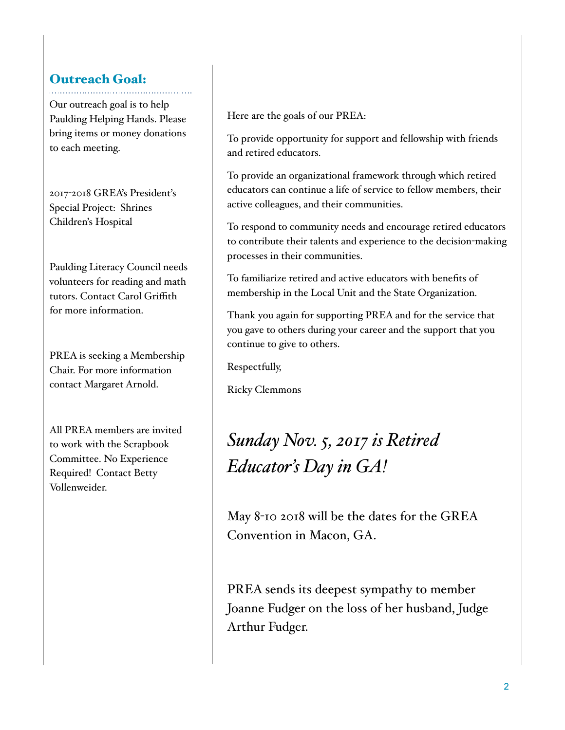## Outreach Goal:

Our outreach goal is to help Paulding Helping Hands. Please bring items or money donations to each meeting.

2017-2018 GREA's President's Special Project: Shrines Children's Hospital

Paulding Literacy Council needs volunteers for reading and math tutors. Contact Carol Griffith for more information.

PREA is seeking a Membership Chair. For more information contact Margaret Arnold.

All PREA members are invited to work with the Scrapbook Committee. No Experience Required! Contact Betty Vollenweider.

Here are the goals of our PREA:

To provide opportunity for support and fellowship with friends and retired educators.

To provide an organizational framework through which retired educators can continue a life of service to fellow members, their active colleagues, and their communities.

To respond to community needs and encourage retired educators to contribute their talents and experience to the decision-making processes in their communities.

To familiarize retired and active educators with benefits of membership in the Local Unit and the State Organization.

Thank you again for supporting PREA and for the service that you gave to others during your career and the support that you continue to give to others.

Respectfully,

Ricky Clemmons

# *Sunday Nov. 5, 2017 is Retired Educator's Day in GA!*

May 8-10 2018 will be the dates for the GREA Convention in Macon, GA.

PREA sends its deepest sympathy to member Joanne Fudger on the loss of her husband, Judge Arthur Fudger.